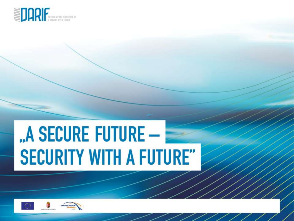

# "A SECURE FUTURE -**SECURITY WITH A FUTURE"**

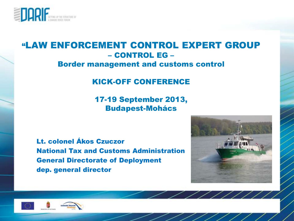

#### "LAW ENFORCEMENT CONTROL EXPERT GROUP – CONTROL EG – Border management and customs control

#### KICK-OFF CONFERENCE

17-19 September 2013, Budapest-Mohács

Lt. colonel Ákos Czuczor National Tax and Customs Administration General Directorate of Deployment dep. general director



 $\overline{\phantom{a}}$ 

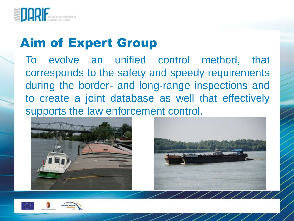

## Aim of Expert Group

To evolve an unified control method, that corresponds to the safety and speedy requirements during the border- and long-range inspections and to create a joint database as well that effectively supports the law enforcement control.





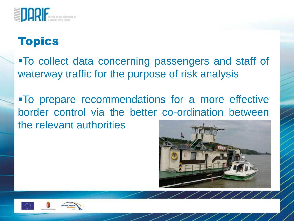

To collect data concerning passengers and staff of waterway traffic for the purpose of risk analysis

To prepare recommendations for a more effective border control via the better co-ordination between the relevant authorities



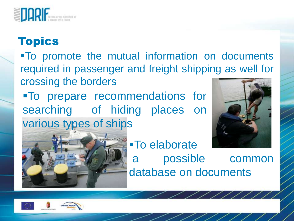

To promote the mutual information on documents required in passenger and freight shipping as well for crossing the borders

To prepare recommendations for searching of hiding places on various types of ships





To elaborate a possible common database on documents

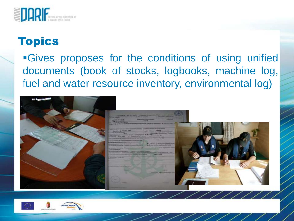

**Gives proposes for the conditions of using unified** documents (book of stocks, logbooks, machine log, fuel and water resource inventory, environmental log)



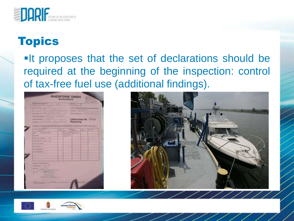

**If proposes that the set of declarations should be** required at the beginning of the inspection: control of tax-free fuel use (additional findings).





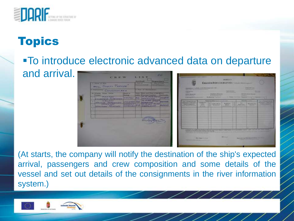

#### To introduce electronic advanced data on departure and arrival.



(At starts, the company will notify the destination of the ship's expected arrival, passengers and crew composition and some details of the vessel and set out details of the consignments in the river information system.)